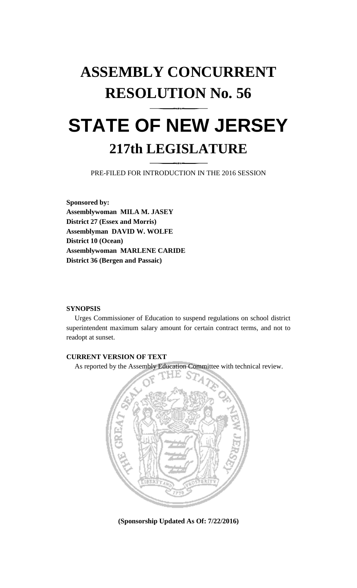# **ASSEMBLY CONCURRENT RESOLUTION No. 56**

## **STATE OF NEW JERSEY 217th LEGISLATURE**

PRE-FILED FOR INTRODUCTION IN THE 2016 SESSION

**Sponsored by: Assemblywoman MILA M. JASEY District 27 (Essex and Morris) Assemblyman DAVID W. WOLFE District 10 (Ocean) Assemblywoman MARLENE CARIDE District 36 (Bergen and Passaic)**

#### **SYNOPSIS**

Urges Commissioner of Education to suspend regulations on school district superintendent maximum salary amount for certain contract terms, and not to readopt at sunset.

### **CURRENT VERSION OF TEXT**

As reported by the Assembly Education Committee with technical review.



**(Sponsorship Updated As Of: 7/22/2016)**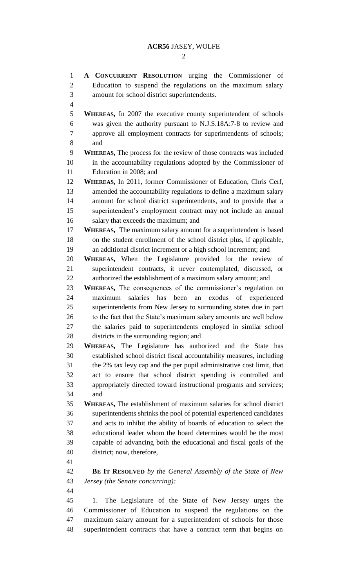#### **ACR56** JASEY, WOLFE

 $\mathcal{D}_{\mathcal{L}}$ 

 **A CONCURRENT RESOLUTION** urging the Commissioner of Education to suspend the regulations on the maximum salary amount for school district superintendents. **WHEREAS,** In 2007 the executive county superintendent of schools was given the authority pursuant to N.J.S.18A:7-8 to review and approve all employment contracts for superintendents of schools; and **WHEREAS,** The process for the review of those contracts was included in the accountability regulations adopted by the Commissioner of Education in 2008; and **WHEREAS,** In 2011, former Commissioner of Education, Chris Cerf, amended the accountability regulations to define a maximum salary amount for school district superintendents, and to provide that a superintendent's employment contract may not include an annual salary that exceeds the maximum; and **WHEREAS,** The maximum salary amount for a superintendent is based on the student enrollment of the school district plus, if applicable, an additional district increment or a high school increment; and **WHEREAS,** When the Legislature provided for the review of superintendent contracts, it never contemplated, discussed, or authorized the establishment of a maximum salary amount; and **WHEREAS,** The consequences of the commissioner's regulation on maximum salaries has been an exodus of experienced superintendents from New Jersey to surrounding states due in part to the fact that the State's maximum salary amounts are well below the salaries paid to superintendents employed in similar school districts in the surrounding region; and **WHEREAS,** The Legislature has authorized and the State has established school district fiscal accountability measures, including the 2% tax levy cap and the per pupil administrative cost limit, that act to ensure that school district spending is controlled and appropriately directed toward instructional programs and services; and **WHEREAS,** The establishment of maximum salaries for school district superintendents shrinks the pool of potential experienced candidates and acts to inhibit the ability of boards of education to select the educational leader whom the board determines would be the most capable of advancing both the educational and fiscal goals of the district; now, therefore, **BE IT RESOLVED** *by the General Assembly of the State of New Jersey (the Senate concurring):* 1. The Legislature of the State of New Jersey urges the Commissioner of Education to suspend the regulations on the maximum salary amount for a superintendent of schools for those superintendent contracts that have a contract term that begins on